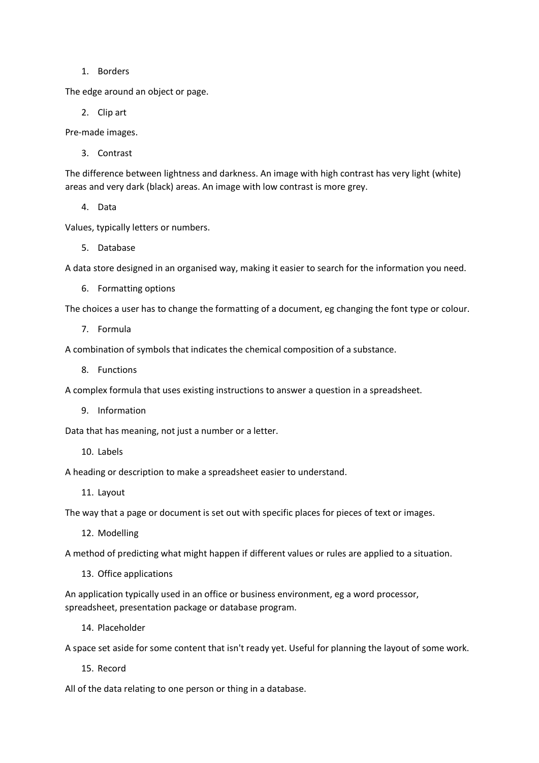1. Borders

The edge around an object or page.

2. Clip art

Pre-made images.

3. Contrast

The difference between lightness and darkness. An image with high contrast has very light (white) areas and very dark (black) areas. An image with low contrast is more grey.

4. Data

Values, typically letters or numbers.

5. Database

A data store designed in an organised way, making it easier to search for the information you need.

6. Formatting options

The choices a user has to change the formatting of a document, eg changing the font type or colour.

7. Formula

A combination of symbols that indicates the chemical composition of a substance.

8. Functions

A complex formula that uses existing instructions to answer a question in a spreadsheet.

9. Information

Data that has meaning, not just a number or a letter.

10. Labels

A heading or description to make a spreadsheet easier to understand.

11. Layout

The way that a page or document is set out with specific places for pieces of text or images.

12. Modelling

A method of predicting what might happen if different values or rules are applied to a situation.

13. Office applications

An application typically used in an office or business environment, eg a word processor, spreadsheet, presentation package or database program.

14. Placeholder

A space set aside for some content that isn't ready yet. Useful for planning the layout of some work.

15. Record

All of the data relating to one person or thing in a database.